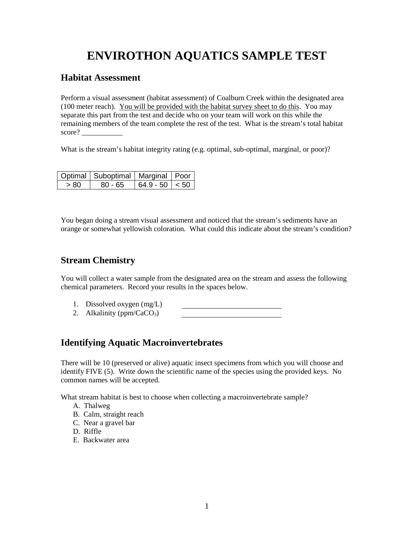# **ENVIROTHON AQUATICS SAMPLE TEST**

#### **Habitat Assessment**

Perform a visual assessment (habitat assessment) of Coalburn Creek within the designated area (100 meter reach). You will be provided with the habitat survey sheet to do this. You may separate this part from the test and decide who on your team will work on this while the remaining members of the team complete the rest of the test. What is the stream's total habitat score? \_\_\_\_\_\_\_\_\_\_\_

What is the stream's habitat integrity rating (e.g. optimal, sub-optimal, marginal, or poor)?

|      | Optimal   Suboptimal   Marginal   Poor |                  |  |
|------|----------------------------------------|------------------|--|
| > 80 | 80 - 65                                | $64.9 - 50 < 50$ |  |

You began doing a stream visual assessment and noticed that the stream's sediments have an orange or somewhat yellowish coloration. What could this indicate about the stream's condition?

## **Stream Chemistry**

You will collect a water sample from the designated area on the stream and assess the following chemical parameters. Record your results in the spaces below.

- 1. Dissolved oxygen (mg/L)
- 2. Alkalinity ( $ppm/CaCO<sub>3</sub>$ )

## **Identifying Aquatic Macroinvertebrates**

There will be 10 (preserved or alive) aquatic insect specimens from which you will choose and identify FIVE (5). Write down the scientific name of the species using the provided keys. No common names will be accepted.

What stream habitat is best to choose when collecting a macroinvertebrate sample?

- A. Thalweg
- B. Calm, straight reach
- C. Near a gravel bar
- D. Riffle
- E. Backwater area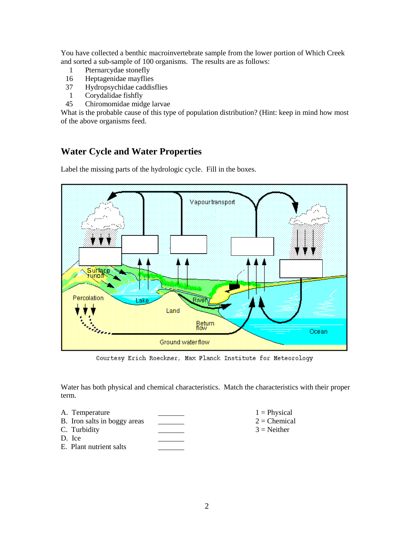You have collected a benthic macroinvertebrate sample from the lower portion of Which Creek and sorted a sub-sample of 100 organisms. The results are as follows:

- 1 Pternarcydae stonefly
- 16 Heptagenidae mayflies<br>37 Hydropsychidae caddis
- Hydropsychidae caddisflies
- 1 Corydalidae fishfly
- 45 Chiromomidae midge larvae

What is the probable cause of this type of population distribution? (Hint: keep in mind how most of the above organisms feed.

# **Water Cycle and Water Properties**

Label the missing parts of the hydrologic cycle. Fill in the boxes.



Courtesy Erich Roeckner, Max Planck Institute for Meteorology

Water has both physical and chemical characteristics. Match the characteristics with their proper term.

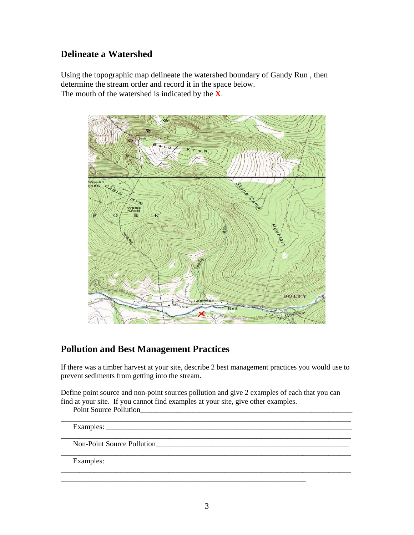# **Delineate a Watershed**

Using the topographic map delineate the watershed boundary of Gandy Run , then determine the stream order and record it in the space below. The mouth of the watershed is indicated by the **X**.



## **Pollution and Best Management Practices**

If there was a timber harvest at your site, describe 2 best management practices you would use to prevent sediments from getting into the stream.

Define point source and non-point sources pollution and give 2 examples of each that you can find at your site. If you cannot find examples at your site, give other examples.

\_\_\_\_\_\_\_\_\_\_\_\_\_\_\_\_\_\_\_\_\_\_\_\_\_\_\_\_\_\_\_\_\_\_\_\_\_\_\_\_\_\_\_\_\_\_\_\_\_\_\_\_\_\_\_\_\_\_\_\_\_\_\_\_\_\_\_\_\_\_\_\_\_\_\_\_\_\_

\_\_\_\_\_\_\_\_\_\_\_\_\_\_\_\_\_\_\_\_\_\_\_\_\_\_\_\_\_\_\_\_\_\_\_\_\_\_\_\_\_\_\_\_\_\_\_\_\_\_\_\_\_\_\_\_\_\_\_\_\_\_\_\_\_\_\_\_\_\_\_\_\_\_\_\_\_\_

\_\_\_\_\_\_\_\_\_\_\_\_\_\_\_\_\_\_\_\_\_\_\_\_\_\_\_\_\_\_\_\_\_\_\_\_\_\_\_\_\_\_\_\_\_\_\_\_\_\_\_\_\_\_\_\_\_\_\_\_\_\_\_\_\_\_\_\_\_\_\_\_\_\_\_\_\_\_

\_\_\_\_\_\_\_\_\_\_\_\_\_\_\_\_\_\_\_\_\_\_\_\_\_\_\_\_\_\_\_\_\_\_\_\_\_\_\_\_\_\_\_\_\_\_\_\_\_\_\_\_\_\_\_\_\_\_\_\_\_\_\_\_\_\_\_\_\_\_\_\_\_\_\_\_\_\_

\_\_\_\_\_\_\_\_\_\_\_\_\_\_\_\_\_\_\_\_\_\_\_\_\_\_\_\_\_\_\_\_\_\_\_\_\_\_\_\_\_\_\_\_\_\_\_\_\_\_\_\_\_\_\_\_\_\_\_\_\_\_\_\_\_\_

Point Source Pollution

Examples: \_\_\_\_\_\_\_\_\_\_\_\_\_\_\_\_\_\_\_\_\_\_\_\_\_\_\_\_\_\_\_\_\_\_\_\_\_\_\_\_\_\_\_\_\_\_\_\_\_\_\_\_\_\_\_\_\_\_\_\_\_\_\_\_\_\_

Non-Point Source Pollution

Examples: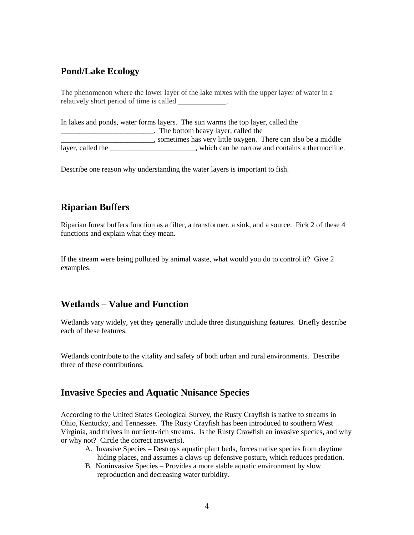## **Pond/Lake Ecology**

The phenomenon where the lower layer of the lake mixes with the upper layer of water in a relatively short period of time is called \_\_\_\_\_\_\_\_\_\_\_\_.

In lakes and ponds, water forms layers. The sun warms the top layer, called the \_\_\_\_\_\_\_\_\_\_\_\_\_\_\_\_\_\_\_\_\_\_\_\_\_. The bottom heavy layer, called the \_\_\_\_\_\_\_\_\_\_\_\_\_\_\_\_\_\_\_\_\_\_\_\_\_, sometimes has very little oxygen. There can also be a middle layer, called the \_\_\_\_\_\_\_\_\_\_\_\_\_\_\_\_\_\_\_\_\_\_, which can be narrow and contains a thermocline.

Describe one reason why understanding the water layers is important to fish.

# **Riparian Buffers**

Riparian forest buffers function as a filter, a transformer, a sink, and a source. Pick 2 of these 4 functions and explain what they mean.

If the stream were being polluted by animal waste, what would you do to control it? Give 2 examples.

## **Wetlands – Value and Function**

Wetlands vary widely, yet they generally include three distinguishing features. Briefly describe each of these features.

Wetlands contribute to the vitality and safety of both urban and rural environments. Describe three of these contributions.

#### **Invasive Species and Aquatic Nuisance Species**

According to the United States Geological Survey, the Rusty Crayfish is native to streams in Ohio, Kentucky, and Tennessee. The Rusty Crayfish has been introduced to southern West Virginia, and thrives in nutrient-rich streams. Is the Rusty Crawfish an invasive species, and why or why not? Circle the correct answer(s).

- A. Invasive Species Destroys aquatic plant beds, forces native species from daytime hiding places, and assumes a claws-up defensive posture, which reduces predation.
- B. Noninvasive Species Provides a more stable aquatic environment by slow reproduction and decreasing water turbidity.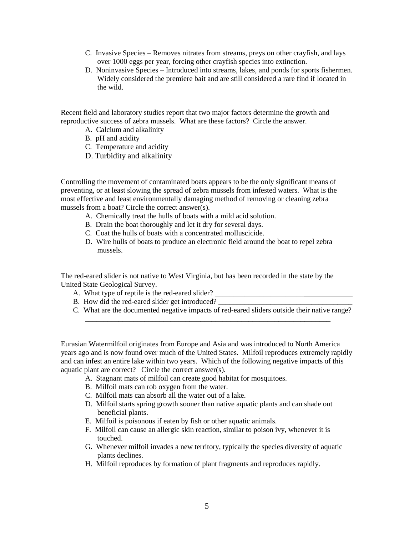- C. Invasive Species Removes nitrates from streams, preys on other crayfish, and lays over 1000 eggs per year, forcing other crayfish species into extinction.
- D. Noninvasive Species Introduced into streams, lakes, and ponds for sports fishermen. Widely considered the premiere bait and are still considered a rare find if located in the wild.

Recent field and laboratory studies report that two major factors determine the growth and reproductive success of zebra mussels. What are these factors? Circle the answer.

- A. Calcium and alkalinity
- B. pH and acidity
- C. Temperature and acidity
- D. Turbidity and alkalinity

Controlling the movement of contaminated boats appears to be the only significant means of preventing, or at least slowing the spread of zebra mussels from infested waters. What is the most effective and least environmentally damaging method of removing or cleaning zebra mussels from a boat? Circle the correct answer(s).

- A. Chemically treat the hulls of boats with a mild acid solution.
- B. Drain the boat thoroughly and let it dry for several days.
- C. Coat the hulls of boats with a concentrated molluscicide.
- D. Wire hulls of boats to produce an electronic field around the boat to repel zebra mussels.

The red-eared slider is not native to West Virginia, but has been recorded in the state by the United State Geological Survey.

- A. What type of reptile is the red-eared slider?
- B. How did the red-eared slider get introduced?
- C. What are the documented negative impacts of red-eared sliders outside their native range?

\_\_\_\_\_\_\_\_\_\_\_\_\_\_\_\_\_\_\_\_\_\_\_\_\_\_\_\_\_\_\_\_\_\_\_\_\_\_\_\_\_\_\_\_\_\_\_\_\_\_\_\_\_\_\_\_\_\_\_\_\_\_\_\_\_\_

Eurasian Watermilfoil originates from Europe and Asia and was introduced to North America years ago and is now found over much of the United States. Milfoil reproduces extremely rapidly and can infest an entire lake within two years. Which of the following negative impacts of this aquatic plant are correct? Circle the correct answer(s).

- A. Stagnant mats of milfoil can create good habitat for mosquitoes.
- B. Milfoil mats can rob oxygen from the water.
- C. Milfoil mats can absorb all the water out of a lake.
- D. Milfoil starts spring growth sooner than native aquatic plants and can shade out beneficial plants.
- E. Milfoil is poisonous if eaten by fish or other aquatic animals.
- F. Milfoil can cause an allergic skin reaction, similar to poison ivy, whenever it is touched.
- G. Whenever milfoil invades a new territory, typically the species diversity of aquatic plants declines.
- H. Milfoil reproduces by formation of plant fragments and reproduces rapidly.